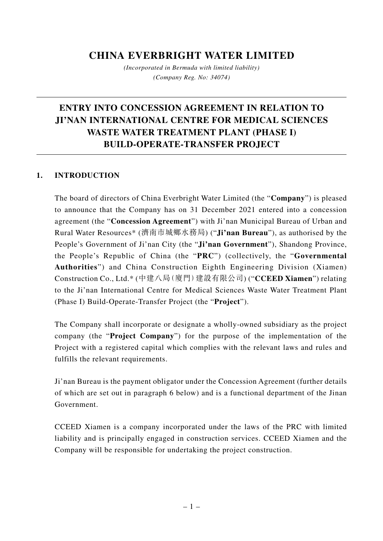# **CHINA EVERBRIGHT WATER LIMITED**

*(Incorporated in Bermuda with limited liability) (Company Reg. No: 34074)*

# **ENTRY INTO CONCESSION AGREEMENT IN RELATION TO JI'NAN INTERNATIONAL CENTRE FOR MEDICAL SCIENCES WASTE WATER TREATMENT PLANT (PHASE I) BUILD-OPERATE-TRANSFER PROJECT**

#### **1. INTRODUCTION**

The board of directors of China Everbright Water Limited (the "**Company**") is pleased to announce that the Company has on 31 December 2021 entered into a concession agreement (the "**Concession Agreement**") with Ji'nan Municipal Bureau of Urban and Rural Water Resources\* (濟南市城鄉水務局) ("**Ji'nan Bureau**"), as authorised by the People's Government of Ji'nan City (the "**Ji'nan Government**"), Shandong Province, the People's Republic of China (the "**PRC**") (collectively, the "**Governmental Authorities**") and China Construction Eighth Engineering Division (Xiamen) Construction Co., Ltd.\* (中建八局(廈門)建設有限公司) ("**CCEED Xiamen**") relating to the Ji'nan International Centre for Medical Sciences Waste Water Treatment Plant (Phase I) Build-Operate-Transfer Project (the "**Project**").

The Company shall incorporate or designate a wholly-owned subsidiary as the project company (the "**Project Company**") for the purpose of the implementation of the Project with a registered capital which complies with the relevant laws and rules and fulfills the relevant requirements.

Ji'nan Bureau is the payment obligator under the Concession Agreement (further details of which are set out in paragraph 6 below) and is a functional department of the Jinan Government.

CCEED Xiamen is a company incorporated under the laws of the PRC with limited liability and is principally engaged in construction services. CCEED Xiamen and the Company will be responsible for undertaking the project construction.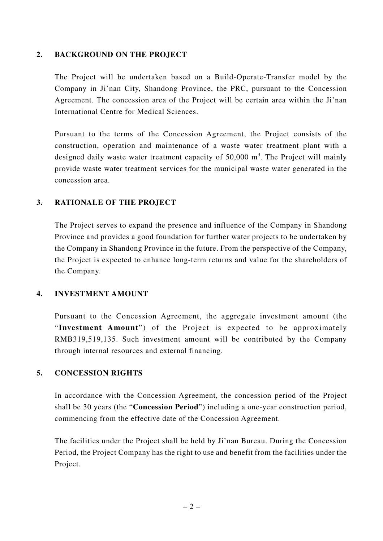#### **2. BACKGROUND ON THE PROJECT**

The Project will be undertaken based on a Build-Operate-Transfer model by the Company in Ji'nan City, Shandong Province, the PRC, pursuant to the Concession Agreement. The concession area of the Project will be certain area within the Ji'nan International Centre for Medical Sciences.

Pursuant to the terms of the Concession Agreement, the Project consists of the construction, operation and maintenance of a waste water treatment plant with a designed daily waste water treatment capacity of 50,000 m<sup>3</sup>. The Project will mainly provide waste water treatment services for the municipal waste water generated in the concession area.

### **3. RATIONALE OF THE PROJECT**

The Project serves to expand the presence and influence of the Company in Shandong Province and provides a good foundation for further water projects to be undertaken by the Company in Shandong Province in the future. From the perspective of the Company, the Project is expected to enhance long-term returns and value for the shareholders of the Company.

#### **4. INVESTMENT AMOUNT**

Pursuant to the Concession Agreement, the aggregate investment amount (the "**Investment Amount**") of the Project is expected to be approximately RMB319,519,135. Such investment amount will be contributed by the Company through internal resources and external financing.

#### **5. CONCESSION RIGHTS**

In accordance with the Concession Agreement, the concession period of the Project shall be 30 years (the "**Concession Period**") including a one-year construction period, commencing from the effective date of the Concession Agreement.

The facilities under the Project shall be held by Ji'nan Bureau. During the Concession Period, the Project Company has the right to use and benefit from the facilities under the Project.